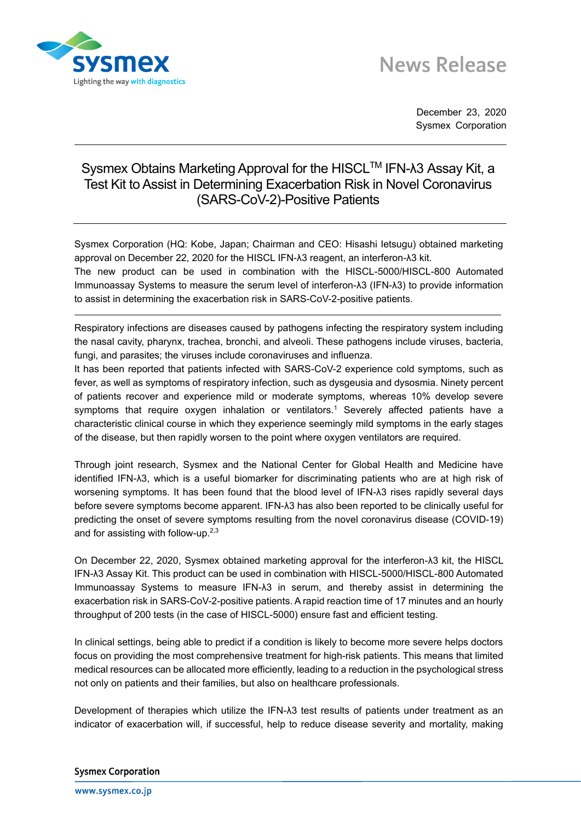



December 23, 2020 Sysmex Corporation

## Sysmex Obtains Marketing Approval for the HISCL<sup>™</sup> IFN-λ3 Assay Kit, a Test Kit to Assist in Determining Exacerbation Risk in Novel Coronavirus (SARS-CoV-2)-Positive Patients

Sysmex Corporation (HQ: Kobe, Japan; Chairman and CEO: Hisashi Ietsugu) obtained marketing approval on December 22, 2020 for the HISCL IFN-λ3 reagent, an interferon-λ3 kit.

The new product can be used in combination with the HISCL-5000/HISCL-800 Automated Immunoassay Systems to measure the serum level of interferon-λ3 (IFN-λ3) to provide information to assist in determining the exacerbation risk in SARS-CoV-2-positive patients.

Respiratory infections are diseases caused by pathogens infecting the respiratory system including the nasal cavity, pharynx, trachea, bronchi, and alveoli. These pathogens include viruses, bacteria, fungi, and parasites; the viruses include coronaviruses and influenza.

It has been reported that patients infected with SARS-CoV-2 experience cold symptoms, such as fever, as well as symptoms of respiratory infection, such as dysgeusia and dysosmia. Ninety percent of patients recover and experience mild or moderate symptoms, whereas 10% develop severe symptoms that require oxygen inhalation or ventilators.<sup>1</sup> Severely affected patients have a characteristic clinical course in which they experience seemingly mild symptoms in the early stages of the disease, but then rapidly worsen to the point where oxygen ventilators are required.

Through joint research, Sysmex and the National Center for Global Health and Medicine have identified IFN-λ3, which is a useful biomarker for discriminating patients who are at high risk of worsening symptoms. It has been found that the blood level of IFN-λ3 rises rapidly several days before severe symptoms become apparent. IFN-λ3 has also been reported to be clinically useful for predicting the onset of severe symptoms resulting from the novel coronavirus disease (COVID-19) and for assisting with follow-up. $^{2,3}$ 

On December 22, 2020, Sysmex obtained marketing approval for the interferon-λ3 kit, the HISCL IFN-λ3 Assay Kit. This product can be used in combination with HISCL-5000/HISCL-800 Automated Immunoassay Systems to measure IFN-λ3 in serum, and thereby assist in determining the exacerbation risk in SARS-CoV-2-positive patients. A rapid reaction time of 17 minutes and an hourly throughput of 200 tests (in the case of HISCL-5000) ensure fast and efficient testing.

In clinical settings, being able to predict if a condition is likely to become more severe helps doctors focus on providing the most comprehensive treatment for high-risk patients. This means that limited medical resources can be allocated more efficiently, leading to a reduction in the psychological stress not only on patients and their families, but also on healthcare professionals.

Development of therapies which utilize the IFN-λ3 test results of patients under treatment as an indicator of exacerbation will, if successful, help to reduce disease severity and mortality, making